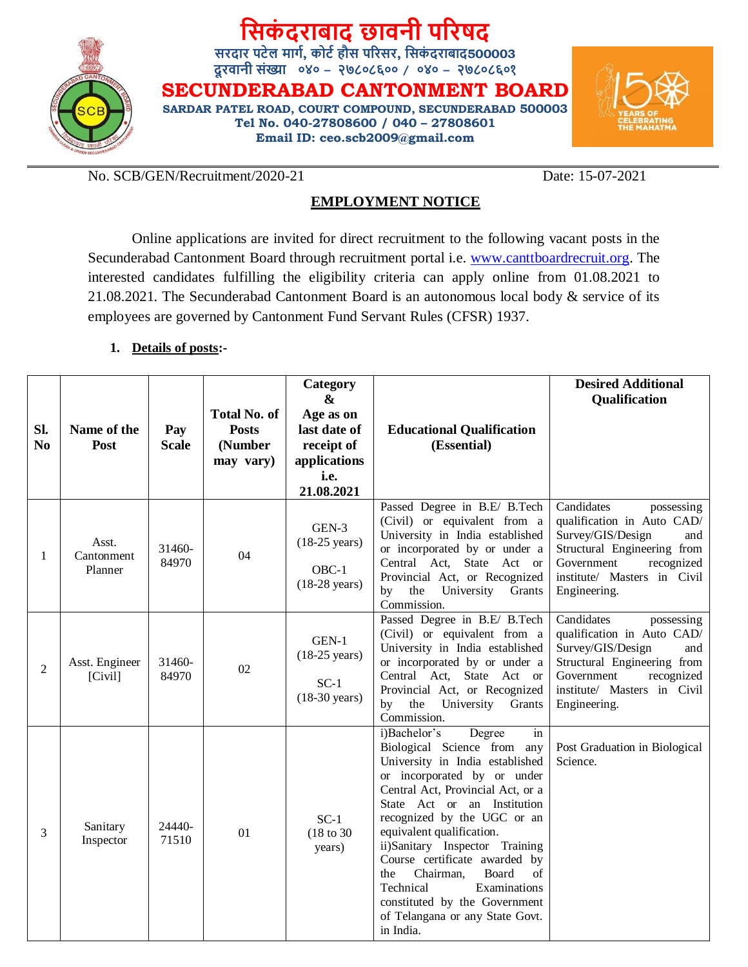

# **सिकं दराबाद छावनी पररषद**

**िरदार पटेल मार्ग, कोटग हौि पररिर, सिकं दराबाद500003 दूरवानी िंख्या ०४० – २७८०८६०० / ०४० – २७८०८६०१**

**SECUNDERABAD CANTONMENT BOARD SARDAR PATEL ROAD, COURT COMPOUND, SECUNDERABAD 500003 Tel No. 040-27808600 / 040 – 27808601 Email ID: ceo.scb2009@gmail.com**



No. SCB/GEN/Recruitment/2020-21 Date: 15-07-2021

# **EMPLOYMENT NOTICE**

Online applications are invited for direct recruitment to the following vacant posts in the Secunderabad Cantonment Board through recruitment portal i.e. [www.canttboardrecruit.org.](http://www.canttboardrecruit.org/) The interested candidates fulfilling the eligibility criteria can apply online from 01.08.2021 to 21.08.2021. The Secunderabad Cantonment Board is an autonomous local body & service of its employees are governed by Cantonment Fund Servant Rules (CFSR) 1937.

# **1. Details of posts:-**

| Sl.<br>N <sub>0</sub> | Name of the<br>Post            | Pay<br><b>Scale</b> | <b>Total No. of</b><br><b>Posts</b><br>(Number<br>may vary) | Category<br>&<br>Age as on<br>last date of<br>receipt of<br>applications<br>i.e. | <b>Educational Qualification</b><br>(Essential)                                                                                                                                                                                                                                                                                                                                                                                                                                   | <b>Desired Additional</b><br><b>Qualification</b>                                                                                                                                            |
|-----------------------|--------------------------------|---------------------|-------------------------------------------------------------|----------------------------------------------------------------------------------|-----------------------------------------------------------------------------------------------------------------------------------------------------------------------------------------------------------------------------------------------------------------------------------------------------------------------------------------------------------------------------------------------------------------------------------------------------------------------------------|----------------------------------------------------------------------------------------------------------------------------------------------------------------------------------------------|
|                       |                                |                     |                                                             | 21.08.2021                                                                       |                                                                                                                                                                                                                                                                                                                                                                                                                                                                                   |                                                                                                                                                                                              |
| 1                     | Asst.<br>Cantonment<br>Planner | 31460-<br>84970     | 04                                                          | GEN-3<br>$(18-25 \text{ years})$<br>OBC-1<br>$(18-28 \text{ years})$             | Passed Degree in B.E/ B.Tech<br>(Civil) or equivalent from a<br>University in India established<br>or incorporated by or under a<br>Central Act, State Act or<br>Provincial Act, or Recognized<br>the<br>University<br>Grants<br>by<br>Commission.                                                                                                                                                                                                                                | Candidates<br>possessing<br>qualification in Auto CAD/<br>Survey/GIS/Design<br>and<br>Structural Engineering from<br>Government<br>recognized<br>institute/ Masters in Civil<br>Engineering. |
| 2                     | Asst. Engineer<br>[Civil]      | 31460-<br>84970     | 02                                                          | GEN-1<br>$(18-25 \text{ years})$<br>$SC-1$<br>$(18-30 \text{ years})$            | Passed Degree in B.E/ B.Tech<br>(Civil) or equivalent from a<br>University in India established<br>or incorporated by or under a<br>Central Act, State Act or<br>Provincial Act, or Recognized<br>the University<br>by<br>Grants<br>Commission.                                                                                                                                                                                                                                   | Candidates<br>possessing<br>qualification in Auto CAD/<br>Survey/GIS/Design<br>and<br>Structural Engineering from<br>Government<br>recognized<br>institute/ Masters in Civil<br>Engineering. |
| 3                     | Sanitary<br>Inspector          | 24440-<br>71510     | 01                                                          | $SC-1$<br>$(18 \text{ to } 30)$<br>years)                                        | Degree<br>i)Bachelor's<br>in<br>Biological Science from any<br>University in India established<br>or incorporated by or under<br>Central Act, Provincial Act, or a<br>State Act or an Institution<br>recognized by the UGC or an<br>equivalent qualification.<br>ii)Sanitary Inspector Training<br>Course certificate awarded by<br>Board<br>of<br>the<br>Chairman,<br>Technical<br>Examinations<br>constituted by the Government<br>of Telangana or any State Govt.<br>in India. | Post Graduation in Biological<br>Science.                                                                                                                                                    |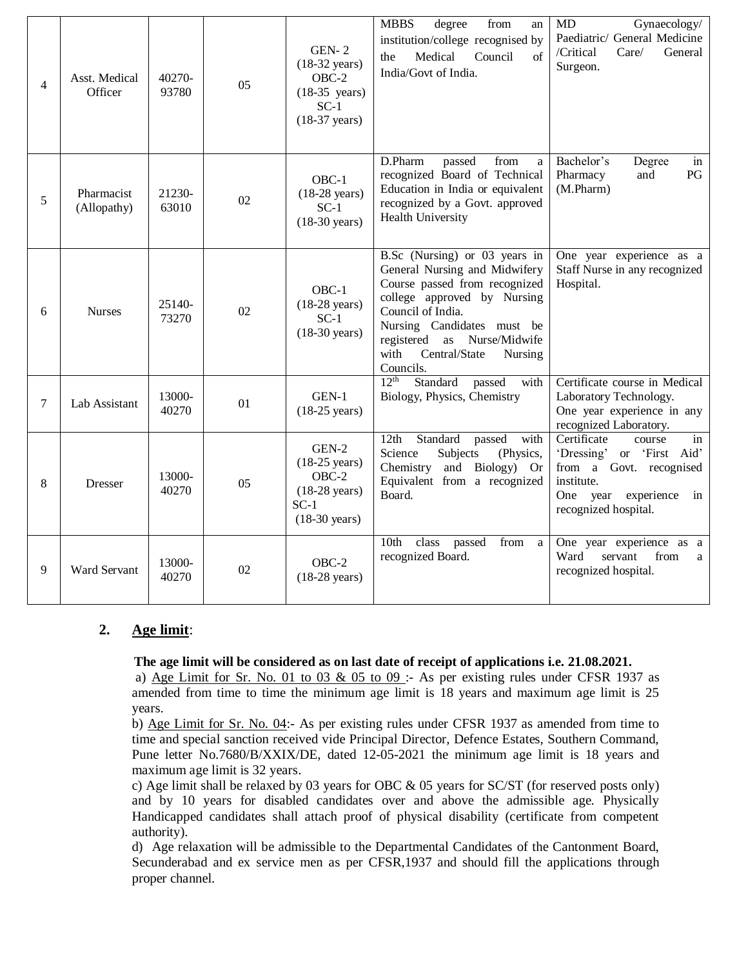| $\overline{4}$ | Asst. Medical<br>Officer  | 40270-<br>93780 | 05 | $GEN-2$<br>$(18-32 \text{ years})$<br>$OBC-2$<br>$(18-35 \text{ years})$<br>$SC-1$<br>$(18-37 \text{ years})$ | <b>MBBS</b><br>degree<br>from<br>an<br>institution/college recognised by<br>Medical<br>Council<br>of<br>the<br>India/Govt of India.                                                                                                                               | MD<br>Gynaecology/<br>Paediatric/ General Medicine<br>/Critical<br>Care/<br>General<br>Surgeon.                                                           |
|----------------|---------------------------|-----------------|----|---------------------------------------------------------------------------------------------------------------|-------------------------------------------------------------------------------------------------------------------------------------------------------------------------------------------------------------------------------------------------------------------|-----------------------------------------------------------------------------------------------------------------------------------------------------------|
| 5              | Pharmacist<br>(Allopathy) | 21230-<br>63010 | 02 | $OBC-1$<br>$(18-28 \text{ years})$<br>$SC-1$<br>$(18-30 \text{ years})$                                       | D.Pharm<br>passed<br>from<br>$\mathbf{a}$<br>recognized Board of Technical<br>Education in India or equivalent<br>recognized by a Govt. approved<br>Health University                                                                                             | Bachelor's<br>Degree<br>in<br>Pharmacy<br>PG<br>and<br>(M.Pharm)                                                                                          |
| 6              | <b>Nurses</b>             | 25140-<br>73270 | 02 | OBC-1<br>$(18-28 \text{ years})$<br>$SC-1$<br>$(18-30 \text{ years})$                                         | B.Sc (Nursing) or 03 years in<br>General Nursing and Midwifery<br>Course passed from recognized<br>college approved by Nursing<br>Council of India.<br>Nursing Candidates must be<br>registered as Nurse/Midwife<br>with<br>Central/State<br>Nursing<br>Councils. | One year experience as a<br>Staff Nurse in any recognized<br>Hospital.                                                                                    |
| $\tau$         | Lab Assistant             | 13000-<br>40270 | 01 | GEN-1<br>$(18-25 \text{ years})$                                                                              | 12 <sup>th</sup><br>Standard<br>passed<br>with<br>Biology, Physics, Chemistry                                                                                                                                                                                     | Certificate course in Medical<br>Laboratory Technology.<br>One year experience in any<br>recognized Laboratory.                                           |
| 8              | <b>Dresser</b>            | 13000-<br>40270 | 05 | $GEN-2$<br>$(18-25 \text{ years})$<br>$OBC-2$<br>$(18-28 \text{ years})$<br>$SC-1$<br>$(18-30 \text{ years})$ | 12th<br>Standard<br>passed<br>with<br>Science<br>Subjects<br>(Physics,<br>Chemistry and Biology) Or<br>Equivalent from a recognized<br>Board.                                                                                                                     | Certificate<br>course<br>in<br>'Dressing' or 'First Aid'<br>from a Govt. recognised<br>institute.<br>One year<br>experience<br>in<br>recognized hospital. |
| 9              | Ward Servant              | 13000-<br>40270 | 02 | $OBC-2$<br>$(18-28 \text{ years})$                                                                            | 10th<br>class<br>passed<br>from<br>a<br>recognized Board.                                                                                                                                                                                                         | One year experience as a<br>servant<br>Ward<br>from<br>a<br>recognized hospital.                                                                          |

# **2. Age limit**:

#### **The age limit will be considered as on last date of receipt of applications i.e. 21.08.2021.**

a) Age Limit for Sr. No. 01 to 03 & 05 to 09 :- As per existing rules under CFSR 1937 as amended from time to time the minimum age limit is 18 years and maximum age limit is 25 years.

b) Age Limit for Sr. No. 04:- As per existing rules under CFSR 1937 as amended from time to time and special sanction received vide Principal Director, Defence Estates, Southern Command, Pune letter No.7680/B/XXIX/DE, dated 12-05-2021 the minimum age limit is 18 years and maximum age limit is 32 years.

c) Age limit shall be relaxed by 03 years for OBC & 05 years for SC/ST (for reserved posts only) and by 10 years for disabled candidates over and above the admissible age. Physically Handicapped candidates shall attach proof of physical disability (certificate from competent authority).

d) Age relaxation will be admissible to the Departmental Candidates of the Cantonment Board, Secunderabad and ex service men as per CFSR,1937 and should fill the applications through proper channel.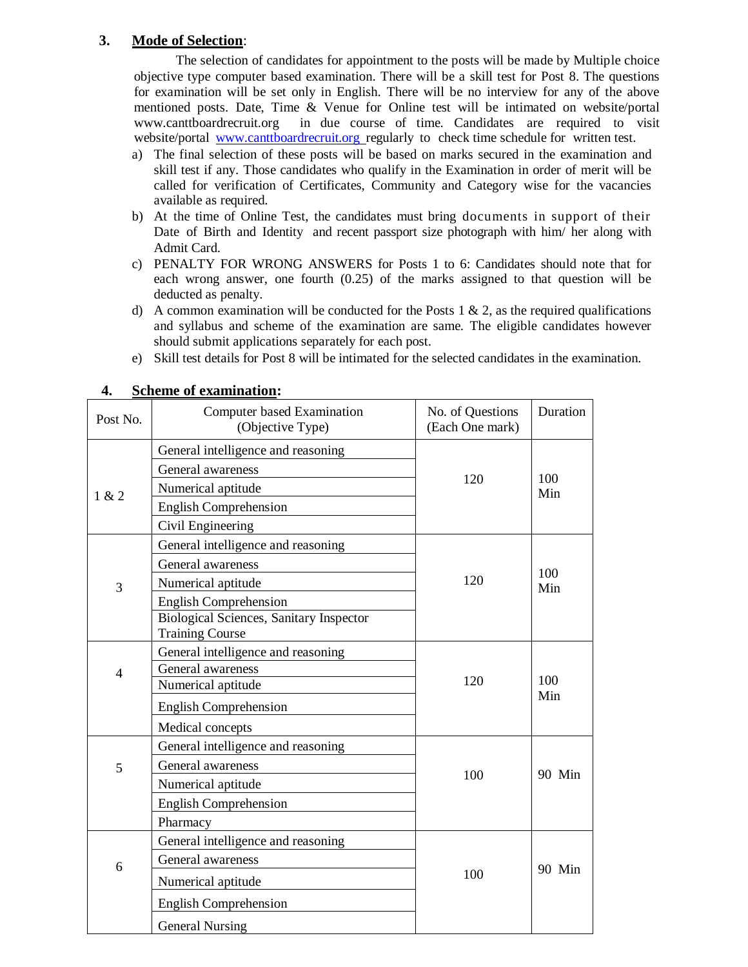# **3. Mode of Selection**:

The selection of candidates for appointment to the posts will be made by Multiple choice objective type computer based examination. There will be a skill test for Post 8. The questions for examination will be set only in English. There will be no interview for any of the above mentioned posts. Date, Time & Venue for Online test will be intimated on website/portal [www.canttboardrecruit.org](http://www.canttboardrecruit.org/) in due course of time. Candidates are required to visit website/portal www.canttboardrecruit.org regularly to check time schedule for written test.

- a) The final selection of these posts will be based on marks secured in the examination and skill test if any. Those candidates who qualify in the Examination in order of merit will be called for verification of Certificates, Community and Category wise for the vacancies available as required.
- b) At the time of Online Test, the candidates must bring documents in support of their Date of Birth and Identity and recent passport size photograph with him/ her along with Admit Card.
- c) PENALTY FOR WRONG ANSWERS for Posts 1 to 6: Candidates should note that for each wrong answer, one fourth (0.25) of the marks assigned to that question will be deducted as penalty.
- d) A common examination will be conducted for the Posts 1  $\&$  2, as the required qualifications and syllabus and scheme of the examination are same. The eligible candidates however should submit applications separately for each post.
- e) Skill test details for Post 8 will be intimated for the selected candidates in the examination.

| Post No. | Computer based Examination<br>(Objective Type) | No. of Questions<br>(Each One mark) | Duration   |
|----------|------------------------------------------------|-------------------------------------|------------|
|          | General intelligence and reasoning             |                                     |            |
|          | General awareness                              |                                     | 100<br>Min |
| 1 & 2    | Numerical aptitude                             | 120                                 |            |
|          | <b>English Comprehension</b>                   |                                     |            |
|          | Civil Engineering                              |                                     |            |
|          | General intelligence and reasoning             |                                     |            |
|          | General awareness                              |                                     | 100<br>Min |
| 3        | Numerical aptitude                             | 120                                 |            |
|          | <b>English Comprehension</b>                   |                                     |            |
|          | <b>Biological Sciences, Sanitary Inspector</b> |                                     |            |
|          | <b>Training Course</b>                         |                                     |            |
|          | General intelligence and reasoning             |                                     |            |
| 4        | General awareness<br>Numerical aptitude        | 120                                 | 100<br>Min |
|          |                                                |                                     |            |
|          | <b>English Comprehension</b>                   |                                     |            |
|          | Medical concepts                               |                                     |            |
|          | General intelligence and reasoning             |                                     |            |
| 5        | General awareness                              | 100                                 | 90 Min     |
|          | Numerical aptitude                             |                                     |            |
|          | <b>English Comprehension</b>                   |                                     |            |
|          | Pharmacy                                       |                                     |            |
|          | General intelligence and reasoning             |                                     |            |
| 6        | General awareness                              |                                     | 90 Min     |
|          | Numerical aptitude                             | 100                                 |            |
|          | <b>English Comprehension</b>                   |                                     |            |
|          | <b>General Nursing</b>                         |                                     |            |

### **4. Scheme of examination:**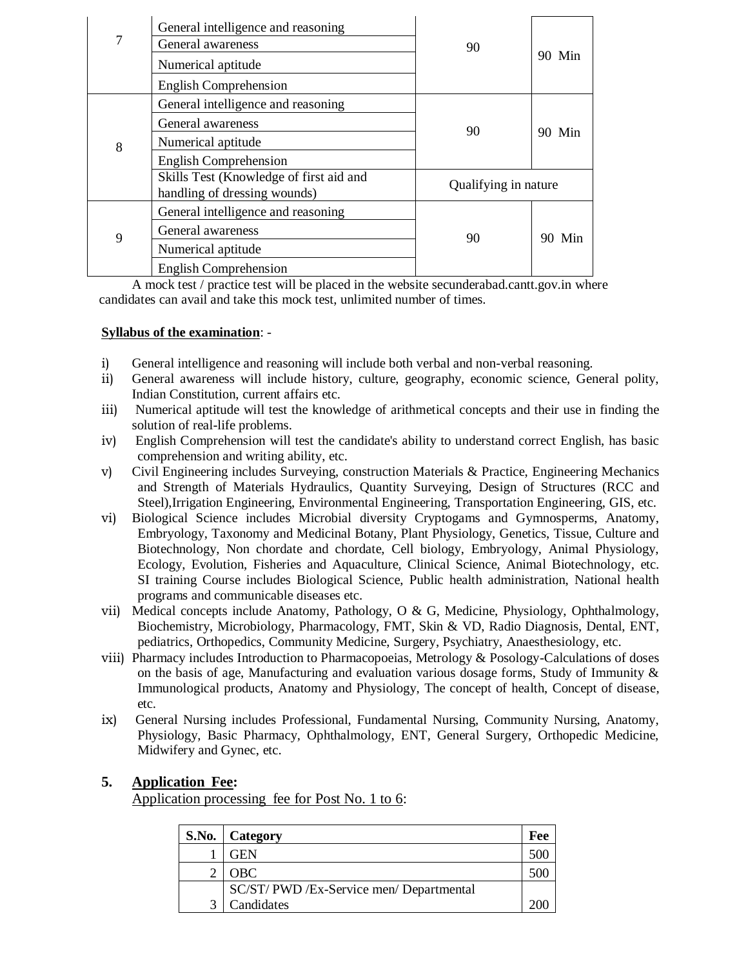| 7 | General intelligence and reasoning<br>General awareness<br>Numerical aptitude<br><b>English Comprehension</b> | 90                   | 90 Min |
|---|---------------------------------------------------------------------------------------------------------------|----------------------|--------|
| 8 | General intelligence and reasoning<br>General awareness<br>Numerical aptitude                                 | 90                   | 90 Min |
|   | <b>English Comprehension</b><br>Skills Test (Knowledge of first aid and<br>handling of dressing wounds)       | Qualifying in nature |        |
| 9 | General intelligence and reasoning<br>General awareness<br>Numerical aptitude<br><b>English Comprehension</b> | 90                   | 90 Min |

A mock test / practice test will be placed in the website secunderabad.cantt.gov.in where candidates can avail and take this mock test, unlimited number of times.

## **Syllabus of the examination**: -

- i) General intelligence and reasoning will include both verbal and non-verbal reasoning.
- ii) General awareness will include history, culture, geography, economic science, General polity, Indian Constitution, current affairs etc.
- iii) Numerical aptitude will test the knowledge of arithmetical concepts and their use in finding the solution of real-life problems.
- iv) English Comprehension will test the candidate's ability to understand correct English, has basic comprehension and writing ability, etc.
- v) Civil Engineering includes Surveying, construction Materials & Practice, Engineering Mechanics and Strength of Materials Hydraulics, Quantity Surveying, Design of Structures (RCC and Steel),Irrigation Engineering, Environmental Engineering, Transportation Engineering, GIS, etc.
- vi) Biological Science includes Microbial diversity Cryptogams and Gymnosperms, Anatomy, Embryology, Taxonomy and Medicinal Botany, Plant Physiology, Genetics, Tissue, Culture and Biotechnology, Non chordate and chordate, Cell biology, Embryology, Animal Physiology, Ecology, Evolution, Fisheries and Aquaculture, Clinical Science, Animal Biotechnology, etc. SI training Course includes Biological Science, Public health administration, National health programs and communicable diseases etc.
- vii) Medical concepts include Anatomy, Pathology, O & G, Medicine, Physiology, Ophthalmology, Biochemistry, Microbiology, Pharmacology, FMT, Skin & VD, Radio Diagnosis, Dental, ENT, pediatrics, Orthopedics, Community Medicine, Surgery, Psychiatry, Anaesthesiology, etc.
- viii) Pharmacy includes Introduction to Pharmacopoeias, Metrology & Posology-Calculations of doses on the basis of age, Manufacturing and evaluation various dosage forms, Study of Immunity  $\&$ Immunological products, Anatomy and Physiology, The concept of health, Concept of disease, etc.
- ix) General Nursing includes Professional, Fundamental Nursing, Community Nursing, Anatomy, Physiology, Basic Pharmacy, Ophthalmology, ENT, General Surgery, Orthopedic Medicine, Midwifery and Gynec, etc.

# **5. Application Fee:**

Application processing fee for Post No. 1 to 6:

| S.No.   Category                      | Fee |
|---------------------------------------|-----|
| GEN                                   |     |
| <b>OBC</b>                            |     |
| SC/ST/PWD/Ex-Service men/Departmental |     |
| Candidates                            |     |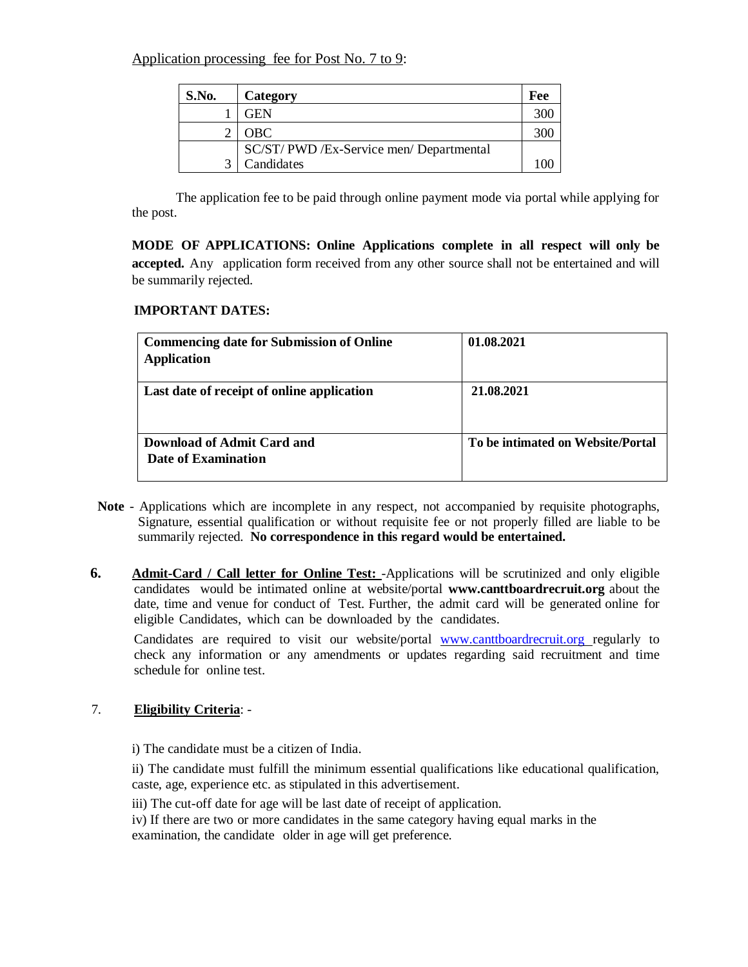Application processing fee for Post No. 7 to 9:

| S.No. | Category                              | Fee |
|-------|---------------------------------------|-----|
|       | GEN                                   |     |
|       | <b>OBC</b>                            |     |
|       | SC/ST/PWD/Ex-Service men/Departmental |     |
|       | Candidates                            |     |

The application fee to be paid through online payment mode via portal while applying for the post.

**MODE OF APPLICATIONS: Online Applications complete in all respect will only be accepted.** Any application form received from any other source shall not be entertained and will be summarily rejected.

### **IMPORTANT DATES:**

| <b>Commencing date for Submission of Online</b><br><b>Application</b> | 01.08.2021                        |
|-----------------------------------------------------------------------|-----------------------------------|
| Last date of receipt of online application                            | 21.08.2021                        |
| Download of Admit Card and<br>Date of Examination                     | To be intimated on Website/Portal |

- **Note** Applications which are incomplete in any respect, not accompanied by requisite photographs, Signature, essential qualification or without requisite fee or not properly filled are liable to be summarily rejected. **No correspondence in this regard would be entertained.**
- **6. Admit-Card / Call letter for Online Test:** -Applications will be scrutinized and only eligible candidates would be intimated online at website/portal **www.canttboardrecruit.org** about the date, time and venue for conduct of Test. Further, the admit card will be generated online for eligible Candidates, which can be downloaded by the candidates.

Candidates are required to visit our website/portal www.canttboardrecruit.org regularly to check any information or any amendments or updates regarding said recruitment and time schedule for online test.

### 7. **Eligibility Criteria**: -

i) The candidate must be a citizen of India.

ii) The candidate must fulfill the minimum essential qualifications like educational qualification, caste, age, experience etc. as stipulated in this advertisement.

iii) The cut-off date for age will be last date of receipt of application.

iv) If there are two or more candidates in the same category having equal marks in the examination, the candidate older in age will get preference.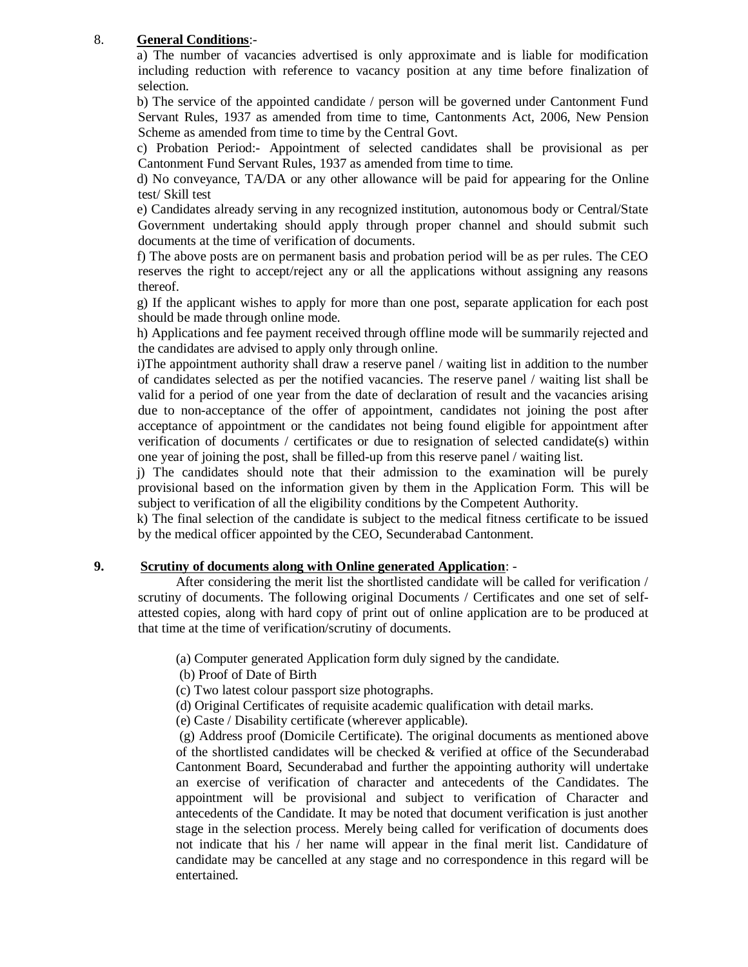## 8. **General Conditions**:-

a) The number of vacancies advertised is only approximate and is liable for modification including reduction with reference to vacancy position at any time before finalization of selection.

b) The service of the appointed candidate / person will be governed under Cantonment Fund Servant Rules, 1937 as amended from time to time, Cantonments Act, 2006, New Pension Scheme as amended from time to time by the Central Govt.

c) Probation Period:- Appointment of selected candidates shall be provisional as per Cantonment Fund Servant Rules, 1937 as amended from time to time.

d) No conveyance, TA/DA or any other allowance will be paid for appearing for the Online test/ Skill test

e) Candidates already serving in any recognized institution, autonomous body or Central/State Government undertaking should apply through proper channel and should submit such documents at the time of verification of documents.

f) The above posts are on permanent basis and probation period will be as per rules. The CEO reserves the right to accept/reject any or all the applications without assigning any reasons thereof.

g) If the applicant wishes to apply for more than one post, separate application for each post should be made through online mode.

h) Applications and fee payment received through offline mode will be summarily rejected and the candidates are advised to apply only through online.

i)The appointment authority shall draw a reserve panel / waiting list in addition to the number of candidates selected as per the notified vacancies. The reserve panel / waiting list shall be valid for a period of one year from the date of declaration of result and the vacancies arising due to non-acceptance of the offer of appointment, candidates not joining the post after acceptance of appointment or the candidates not being found eligible for appointment after verification of documents / certificates or due to resignation of selected candidate(s) within one year of joining the post, shall be filled-up from this reserve panel / waiting list.

j) The candidates should note that their admission to the examination will be purely provisional based on the information given by them in the Application Form. This will be subject to verification of all the eligibility conditions by the Competent Authority.

k) The final selection of the candidate is subject to the medical fitness certificate to be issued by the medical officer appointed by the CEO, Secunderabad Cantonment.

### **9. Scrutiny of documents along with Online generated Application**: -

After considering the merit list the shortlisted candidate will be called for verification / scrutiny of documents. The following original Documents / Certificates and one set of selfattested copies, along with hard copy of print out of online application are to be produced at that time at the time of verification/scrutiny of documents.

(a) Computer generated Application form duly signed by the candidate.

- (b) Proof of Date of Birth
- (c) Two latest colour passport size photographs.

(d) Original Certificates of requisite academic qualification with detail marks.

(e) Caste / Disability certificate (wherever applicable).

(g) Address proof (Domicile Certificate). The original documents as mentioned above of the shortlisted candidates will be checked  $\&$  verified at office of the Secunderabad Cantonment Board, Secunderabad and further the appointing authority will undertake an exercise of verification of character and antecedents of the Candidates. The appointment will be provisional and subject to verification of Character and antecedents of the Candidate. It may be noted that document verification is just another stage in the selection process. Merely being called for verification of documents does not indicate that his / her name will appear in the final merit list. Candidature of candidate may be cancelled at any stage and no correspondence in this regard will be entertained.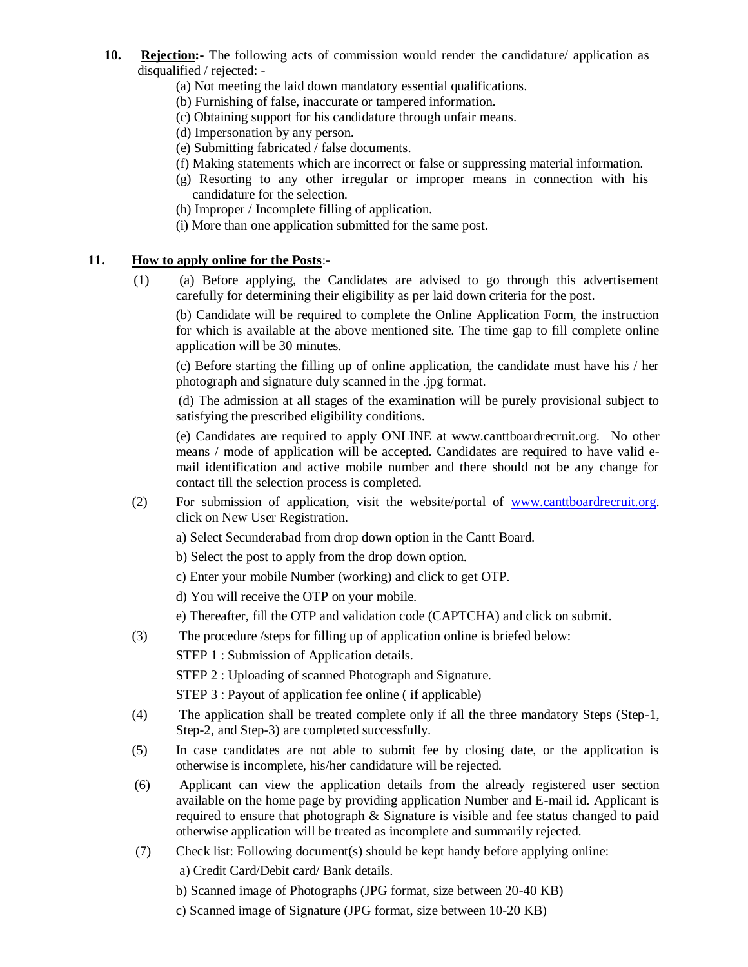- **10. Rejection:-** The following acts of commission would render the candidature/ application as disqualified / rejected: -
	- (a) Not meeting the laid down mandatory essential qualifications.
	- (b) Furnishing of false, inaccurate or tampered information.
	- (c) Obtaining support for his candidature through unfair means.
	- (d) Impersonation by any person.
	- (e) Submitting fabricated / false documents.
	- (f) Making statements which are incorrect or false or suppressing material information.
	- (g) Resorting to any other irregular or improper means in connection with his candidature for the selection.
	- (h) Improper / Incomplete filling of application.
	- (i) More than one application submitted for the same post.

#### **11. How to apply online for the Posts**:-

(1) (a) Before applying, the Candidates are advised to go through this advertisement carefully for determining their eligibility as per laid down criteria for the post.

(b) Candidate will be required to complete the Online Application Form, the instruction for which is available at the above mentioned site. The time gap to fill complete online application will be 30 minutes.

(c) Before starting the filling up of online application, the candidate must have his / her photograph and signature duly scanned in the .jpg format.

(d) The admission at all stages of the examination will be purely provisional subject to satisfying the prescribed eligibility conditions.

(e) Candidates are required to apply ONLINE at www.canttboardrecruit.org. No other means / mode of application will be accepted. Candidates are required to have valid email identification and active mobile number and there should not be any change for contact till the selection process is completed.

- (2) For submission of application, visit the website/portal of [www.canttboardrecruit.org.](http://www.canttboardrecruit.org/) click on New User Registration.
	- a) Select Secunderabad from drop down option in the Cantt Board.
	- b) Select the post to apply from the drop down option.
	- c) Enter your mobile Number (working) and click to get OTP.
	- d) You will receive the OTP on your mobile.
	- e) Thereafter, fill the OTP and validation code (CAPTCHA) and click on submit.
- (3) The procedure /steps for filling up of application online is briefed below:
	- STEP 1 : Submission of Application details.

STEP 2 : Uploading of scanned Photograph and Signature.

STEP 3 : Payout of application fee online ( if applicable)

- (4) The application shall be treated complete only if all the three mandatory Steps (Step-1, Step-2, and Step-3) are completed successfully.
- (5) In case candidates are not able to submit fee by closing date, or the application is otherwise is incomplete, his/her candidature will be rejected.
- (6) Applicant can view the application details from the already registered user section available on the home page by providing application Number and E-mail id. Applicant is required to ensure that photograph & Signature is visible and fee status changed to paid otherwise application will be treated as incomplete and summarily rejected.
- (7) Check list: Following document(s) should be kept handy before applying online:

a) Credit Card/Debit card/ Bank details.

- b) Scanned image of Photographs (JPG format, size between 20-40 KB)
- c) Scanned image of Signature (JPG format, size between 10-20 KB)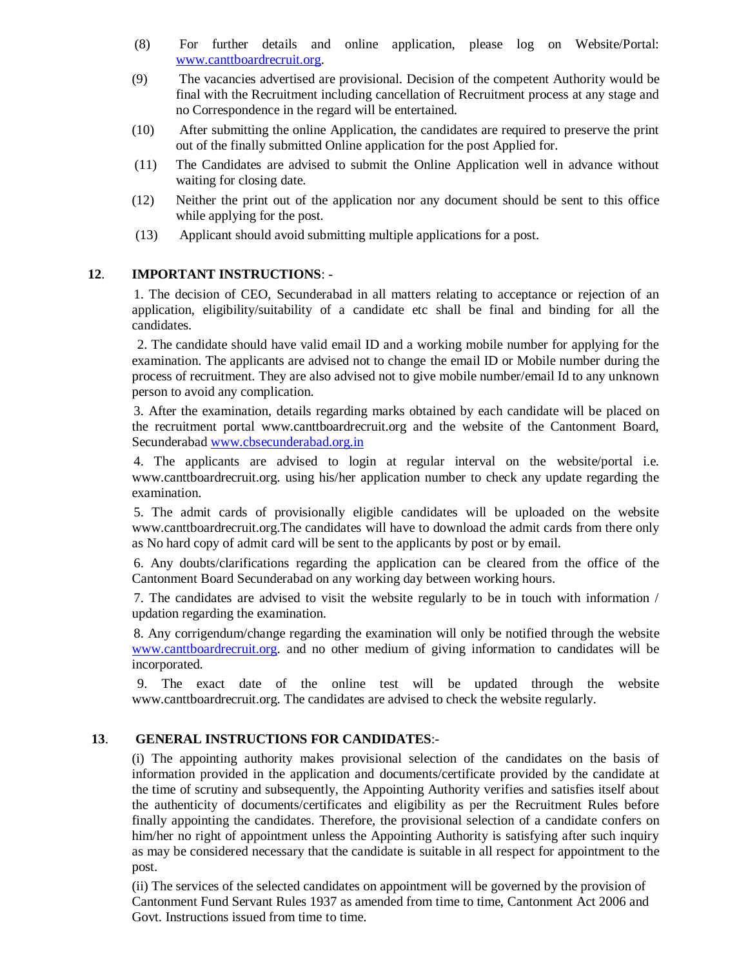- (8) For further details and online application, please log on Website/Portal: [www.canttboardrecruit.org.](http://www.canttboardrecruit.org/)
- (9) The vacancies advertised are provisional. Decision of the competent Authority would be final with the Recruitment including cancellation of Recruitment process at any stage and no Correspondence in the regard will be entertained.
- (10) After submitting the online Application, the candidates are required to preserve the print out of the finally submitted Online application for the post Applied for.
- (11) The Candidates are advised to submit the Online Application well in advance without waiting for closing date.
- (12) Neither the print out of the application nor any document should be sent to this office while applying for the post.
- (13) Applicant should avoid submitting multiple applications for a post.

## **12**. **IMPORTANT INSTRUCTIONS**: -

1. The decision of CEO, Secunderabad in all matters relating to acceptance or rejection of an application, eligibility/suitability of a candidate etc shall be final and binding for all the candidates.

2. The candidate should have valid email ID and a working mobile number for applying for the examination. The applicants are advised not to change the email ID or Mobile number during the process of recruitment. They are also advised not to give mobile number/email Id to any unknown person to avoid any complication.

3. After the examination, details regarding marks obtained by each candidate will be placed on the recruitment portal www.canttboardrecruit.org and the website of the Cantonment Board, Secunderabad [www.cbsecunderabad.org.in](http://www.cbsecunderabad.org.in/)

4. The applicants are advised to login at regular interval on the website/portal i.e. www.canttboardrecruit.org. using his/her application number to check any update regarding the examination.

5. The admit cards of provisionally eligible candidates will be uploaded on the website www.canttboardrecruit.org.The candidates will have to download the admit cards from there only as No hard copy of admit card will be sent to the applicants by post or by email.

6. Any doubts/clarifications regarding the application can be cleared from the office of the Cantonment Board Secunderabad on any working day between working hours.

7. The candidates are advised to visit the website regularly to be in touch with information / updation regarding the examination.

8. Any corrigendum/change regarding the examination will only be notified through the website [www.canttboardrecruit.org.](http://www.canttboardrecruit.org/) and no other medium of giving information to candidates will be incorporated.

9. The exact date of the online test will be updated through the website www.canttboardrecruit.org. The candidates are advised to check the website regularly.

# **13**. **GENERAL INSTRUCTIONS FOR CANDIDATES**:-

(i) The appointing authority makes provisional selection of the candidates on the basis of information provided in the application and documents/certificate provided by the candidate at the time of scrutiny and subsequently, the Appointing Authority verifies and satisfies itself about the authenticity of documents/certificates and eligibility as per the Recruitment Rules before finally appointing the candidates. Therefore, the provisional selection of a candidate confers on him/her no right of appointment unless the Appointing Authority is satisfying after such inquiry as may be considered necessary that the candidate is suitable in all respect for appointment to the post.

(ii) The services of the selected candidates on appointment will be governed by the provision of Cantonment Fund Servant Rules 1937 as amended from time to time, Cantonment Act 2006 and Govt. Instructions issued from time to time.